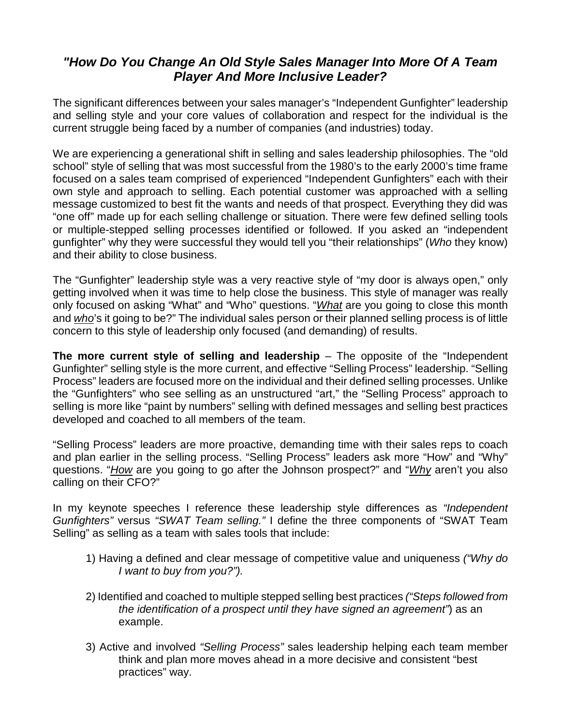## *"How Do You Change An Old Style Sales Manager Into More Of A Team Player And More Inclusive Leader?*

The significant differences between your sales manager's "Independent Gunfighter" leadership and selling style and your core values of collaboration and respect for the individual is the current struggle being faced by a number of companies (and industries) today.

We are experiencing a generational shift in selling and sales leadership philosophies. The "old school" style of selling that was most successful from the 1980's to the early 2000's time frame focused on a sales team comprised of experienced "Independent Gunfighters" each with their own style and approach to selling. Each potential customer was approached with a selling message customized to best fit the wants and needs of that prospect. Everything they did was "one off" made up for each selling challenge or situation. There were few defined selling tools or multiple-stepped selling processes identified or followed. If you asked an "independent gunfighter" why they were successful they would tell you "their relationships" (*Who* they know) and their ability to close business.

The "Gunfighter" leadership style was a very reactive style of "my door is always open," only getting involved when it was time to help close the business. This style of manager was really only focused on asking "What" and "Who" questions. "*What* are you going to close this month and *who*'s it going to be?" The individual sales person or their planned selling process is of little concern to this style of leadership only focused (and demanding) of results.

**The more current style of selling and leadership** – The opposite of the "Independent" Gunfighter" selling style is the more current, and effective "Selling Process" leadership. "Selling Process" leaders are focused more on the individual and their defined selling processes. Unlike the "Gunfighters" who see selling as an unstructured "art," the "Selling Process" approach to selling is more like "paint by numbers" selling with defined messages and selling best practices developed and coached to all members of the team.

"Selling Process" leaders are more proactive, demanding time with their sales reps to coach and plan earlier in the selling process. "Selling Process" leaders ask more "How" and "Why" questions. "*How* are you going to go after the Johnson prospect?" and "*Why* aren't you also calling on their CFO?"

In my keynote speeches I reference these leadership style differences as *"Independent Gunfighters"* versus *"SWAT Team selling."* I define the three components of "SWAT Team Selling" as selling as a team with sales tools that include:

- 1) Having a defined and clear message of competitive value and uniqueness *("Why do I want to buy from you?").*
- 2) Identified and coached to multiple stepped selling best practices *("Steps followed from the identification of a prospect until they have signed an agreement"*) as an example.
- 3) Active and involved *"Selling Process"* sales leadership helping each team member think and plan more moves ahead in a more decisive and consistent "best practices" way.